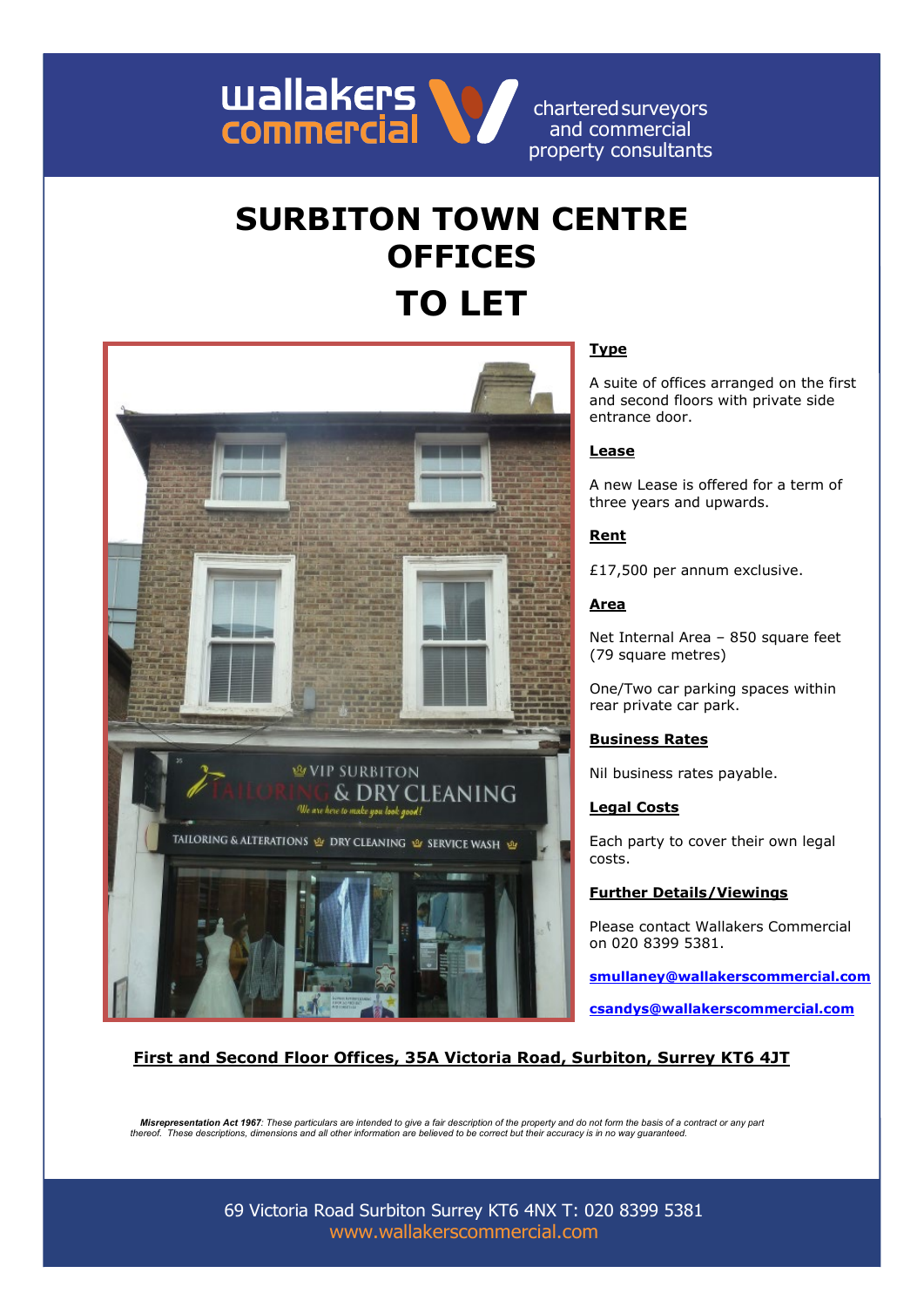

charteredsurveyors and commercial property consultants

# **SURBITON TOWN CENTRE OFFICES TO LET**



# **Type**

A suite of offices arranged on the first and second floors with private side entrance door.

## **Lease**

A new Lease is offered for a term of three years and upwards.

#### **Rent**

£17,500 per annum exclusive.

## **Area**

Net Internal Area – 850 square feet (79 square metres)

One/Two car parking spaces within rear private car park.

#### **Business Rates**

Nil business rates payable.

#### **Legal Costs**

Each party to cover their own legal costs.

# **Further Details/Viewings**

Please contact Wallakers Commercial on 020 8399 5381.

**[smullaney@wallakerscommercial.com](mailto:smullaney@wallakerscommercial.com)**

**[csandys@wallakerscommercial.com](mailto:csandys@wallakerscommercial.com)**

## **First and Second Floor Offices, 35A Victoria Road, Surbiton, Surrey KT6 4JT**

*Misrepresentation Act 1967: These particulars are intended to give a fair description of the property and do not form the basis of a contract or any part thereof. These descriptions, dimensions and all other information are believed to be correct but their accuracy is in no way guaranteed.*

> 69 Victoria Road Surbiton Surrey KT6 4NX T: 020 8399 5381 [www.wallakerscommercial.com](http://www.wallakerscommercial.com/)